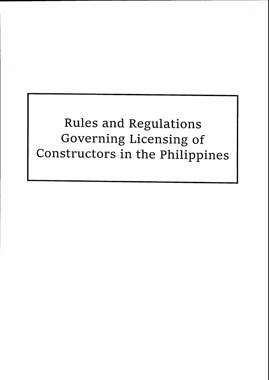Rules and Regulations Governing Licensing of Constructors in the philippines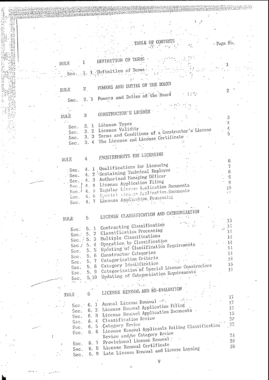|   |                               |               | TABLE OF CONTENTS                                                                       | - Page No.                 |  |
|---|-------------------------------|---------------|-----------------------------------------------------------------------------------------|----------------------------|--|
|   |                               |               |                                                                                         |                            |  |
|   |                               |               |                                                                                         |                            |  |
|   | RULE                          |               | DEFINITION OF TERMS                                                                     |                            |  |
|   |                               |               | Sec. 1 1 Definition of Terms.                                                           |                            |  |
|   |                               |               |                                                                                         |                            |  |
|   |                               |               |                                                                                         |                            |  |
|   | RULE                          | $\mathbf{2}$  | POWERS AND DUTIES OF THE BOARD                                                          | 2                          |  |
|   |                               |               | 2. 1 Powers and Duties of the Board                                                     |                            |  |
|   | Sec.                          |               |                                                                                         |                            |  |
|   |                               |               | CONSTRUCTOR S LICENSE                                                                   |                            |  |
|   | $\operatorname{RULE}$         | 3             |                                                                                         | 3                          |  |
|   |                               | 3.1           | License Types                                                                           | 7                          |  |
|   | Sec.<br>Sec.                  |               | 3. 2 License Validity<br>3. 3 Terms and Conditions of a Constructor's License           | $\mathcal{L}_{\mathbf{r}}$ |  |
|   | Sec.                          |               | The License and License Certificate                                                     |                            |  |
|   | Sec.                          | 3.4           |                                                                                         |                            |  |
|   |                               |               |                                                                                         |                            |  |
|   | RULE                          | $\frac{1}{2}$ | PEQUIREMENTS FOR LICENSING                                                              |                            |  |
|   |                               |               | 1 Qualifications for Licensing                                                          | 7                          |  |
|   | - Sec.                        | Ą.<br>4.      | 2 Sustaining Technical Employee                                                         | ε                          |  |
|   | Sec.<br>Sec.                  | 4.3           | Authorized Managing Officer                                                             | Ĝ<br>$\ddot{G}$            |  |
|   | Sec.;                         | 4.4           | License Application Filing<br>Regular License Application Documents                     | 10                         |  |
|   | Sec.                          | 4.5           | Special Dicense Application. Documents                                                  |                            |  |
|   | Sac.<br>Sec.                  | $4.6 -$<br>≙. | License Application Processing                                                          |                            |  |
|   |                               |               |                                                                                         |                            |  |
|   |                               |               | LICENSE CLASSIFICATION AND CATEGORIZATION                                               |                            |  |
|   | RULE                          | 5             |                                                                                         | 13                         |  |
|   | $S = c$ :                     |               | 5. 1 Contracting Classification                                                         | $1\,$                      |  |
|   | Sec.                          |               | 5. 2 Classification Processing                                                          | 14<br>$1\pm$               |  |
|   | Sec.                          |               | 5. 3 Multiple Classifications<br>5. 4 Operation by Classification                       | 14                         |  |
|   | Sec.                          |               | 5. 5 Updating of Classification Requirements                                            | $1\frac{1}{2}$             |  |
|   | Sec.<br>$S5C$ .               |               | 5. 6 Constructor Categories                                                             | $1\frac{1}{2}$             |  |
|   | Sec.                          |               | 5. 7 Categorization Criteria                                                            | 15<br>15                   |  |
|   | Sec.                          |               | 5. 8 Category Identification<br>5. 9 Categorization of Special License Constructors     | 17                         |  |
|   | $S$ ec.<br>Sec.               |               | 5.10 Urdating of Categorization Requirements                                            |                            |  |
|   | <b>SALE</b>                   |               |                                                                                         |                            |  |
|   |                               |               | LICENSE RENEWAL AND RE-EVALUATION                                                       |                            |  |
|   | FULE                          | 6             |                                                                                         | 17                         |  |
|   | Sec.                          |               | 6. 1 Annual License Renewal                                                             | 17                         |  |
|   | Sec.                          |               | 6. 2. License Renewal Application Filing<br>6. 3 License Renewal Application Documents. | 17<br>1S                   |  |
|   | Sec.                          |               | 6. 4 Classification Review                                                              | 59                         |  |
|   | Sec.                          |               | 6. 5 Category Review                                                                    | 22                         |  |
|   | Sec.<br>$\operatorname{Sec.}$ |               | 6. 6 License Renewal Applicants Failing Classification                                  |                            |  |
| ł |                               |               | Review and/or Category Raview                                                           | 51<br>25 <sub>1</sub>      |  |
|   | Sec.                          |               | 6. 7 Provisional License Renewal:<br>6. 8 License Renewal Certificate                   | 25 <sub>1</sub>            |  |
|   | Sec.<br>Sec.                  |               | 6. 9 Late License Renewal and License Lapsing                                           |                            |  |
|   |                               |               | V                                                                                       |                            |  |
|   |                               |               |                                                                                         |                            |  |

(苦熱を強くなる) (する)

**大学 (大学)** 

 $\ddot{\ddot{\cdot}}$  $\ddot{\phantom{a}}$  $\ldots$   $\hat{\mathbf{z}}$  .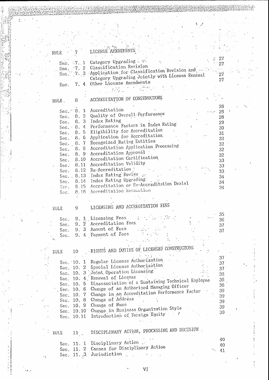| RULE.       | 7               | LICENSE AMENDMENTS                                           |    |
|-------------|-----------------|--------------------------------------------------------------|----|
|             |                 | Sec. 7. 1 Category Upgrading                                 | 27 |
|             |                 | 7. 2 Classification Revision                                 | 27 |
|             |                 | Sec. 7. 3 Application for Classification Revision and        |    |
|             |                 | Category Upgrading Jointly with License Renewal              | 27 |
|             |                 |                                                              | 27 |
| Sec.        | 7.4             | Other License Amendments                                     |    |
|             |                 |                                                              |    |
|             |                 |                                                              |    |
| RULE.       | 8               | ACCREDITATION OF CONSTRUCTORS                                |    |
|             |                 |                                                              | 28 |
|             |                 | Sec. 8. 1 Accreditation                                      | 28 |
|             |                 | Sec. 8. 2 Quality of Overall Performance                     | 28 |
|             |                 | Sec. 8. 3 Index Rating                                       | 29 |
|             |                 | Sec. 8. 4 Performance Fectors in Index Rating                | 30 |
|             |                 | Sec. 8. 5 Eligibility for Accreditation                      | 31 |
|             | Sec. $8.6$      | Application for Accreditation                                | 32 |
|             | Sec. 8.7        | Recognized Rating Entities                                   | 32 |
| Sec.        | 8.8             | Accreditation Application Processing                         | 32 |
|             | Sec. $8.9$      | Accreditation Approval                                       | 32 |
|             |                 | Sec. 8.10 Accreditation Certification                        | 33 |
|             |                 | Sec. 8.11 Accreditation Validity                             |    |
|             |                 | Sec. 8.12 Re-Accreditation                                   | 33 |
|             |                 | Sec. 8.13 Index Rating Review.                               | 33 |
|             |                 | Sec. 8.14 Index Rating Upgrading.                            | 34 |
|             |                 | Sec. 8.15 Accreditation or Re-Accreditation Denial           | 34 |
|             |                 | 8.16 Accreditation Revocation                                | 34 |
| Sec.        |                 |                                                              |    |
|             |                 |                                                              |    |
| RULS        | 9.              | LICENSING AND ACCREDITATION FEES                             |    |
|             |                 |                                                              | 35 |
| Sec.        |                 | 9. 1 Licensing Fees $\vdots$                                 | 36 |
| Sec.        |                 | 9. 2 Accreditation Fees.                                     | 37 |
| Sec.        |                 | 9.3 Amount of Fees                                           | 37 |
| Sec.        |                 | 9. 4 Payment of Fees                                         |    |
|             |                 |                                                              |    |
| RULE        | 10 <sup>1</sup> | RIGHTS AND DUTIES OF LICENSED CONSTRUCTORS                   |    |
|             |                 |                                                              | 37 |
|             |                 | Sec. 10. 1 Regular License Authorization                     | 37 |
|             |                 | Sec. 10. 2 Special License Authorization                     | 37 |
|             |                 | Sec. 10. 3 Joint Operation Licensing                         | 38 |
|             |                 | Sec. 10. 4. Renewal of License                               | 38 |
|             |                 | Sec. 10. 5 Disassociation of a Sustaining Technical Employee | 38 |
|             |                 | . Sec. 10. 6 Change of an Authorized Managing Officer        | 39 |
|             |                 | Sec. 10. 7 Change in an Accreditation Performance Factor     |    |
|             |                 | Sec. 10. 8 Change of Address                                 | 39 |
|             |                 | Sec. 10. 9 Change of Name                                    | 39 |
|             |                 | Sec. 10.10 Change in Business Organization Style             | 39 |
|             | Sec. 10.11      | Introduction of Foreign Equity                               | 39 |
|             |                 |                                                              |    |
| <b>KNFZ</b> | 11              | DISCIPLINARY ACTION, PROCESSING AND DECISION.                |    |
|             |                 |                                                              | 40 |
|             |                 | Sec. 11. 1 Disciplinary Action                               | 40 |
|             |                 | Sec. 11. 2 Causes for Disciplinary Action                    | 41 |
|             |                 | Sec. 11. 3 Jurisdiction                                      |    |

 $\ddot{\cdot}$ 

 $\ddot{\phantom{0}}$ 

 $\sqrt{ }$ 

 $\,$  ,

ł.

Ì

AS<br>Album<br>Elizabeth

anania Saena

 $\sim$  7

1

ici<br>Si

÷.

VI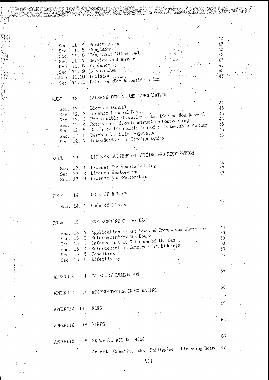|                           |                                                  | 42       |
|---------------------------|--------------------------------------------------|----------|
|                           | Sec. 11. 4 Prescription                          | 42       |
| Sec. 11. 5                | Complaint :<br>Complaint Withdrawal              | 42<br>43 |
| Sec. 11. 6<br>Sec. 11. 7  | Service and Answer                               | 43       |
| Sec. 11. 8                | Evidence ::                                      | 43       |
| Sec. 11. 9 Memorandum     |                                                  | 43       |
| Sec. 11.10                | Decision                                         | 43       |
|                           | Sec. 11.11 Petition for Reconsideration          |          |
|                           |                                                  |          |
| 12<br><b>RULE</b>         | LICENSE DENIAL AND CANCELLATION                  |          |
|                           | License Denial                                   | 44       |
| Sec. 12. 1                | License Renewal Fenial                           | 45<br>45 |
| Sec. $12.2$<br>Sec. 12. 3 | Permissible Operation after License Non-Renewal  | 45       |
| Sec. 12. 4                | Retirement from Construction Contracting         | 45       |
| Sec. 12. 5                | Death or Disassociation of a Partnership Partner | 46       |
| Sec. 12. 6                | Death of a Sole Proprietor                       | 46       |
| Sec. 12. 7                | Introduction of Foreign Equity                   |          |
|                           |                                                  |          |
| 13<br><b>RULE</b>         | LICENSE SUSPENSION LIFTING AND RESTORATION       |          |
|                           | Sec. 13. 1 License Suspension Lifting            | 46<br>47 |
|                           | Sec. 13. 2 License Restoration                   | 47       |
|                           | Sec. 13. 3 License Non-Restoration               |          |
|                           |                                                  |          |
|                           | CODE OF ETHICS                                   |          |
| $14 -$<br>只具因             |                                                  | 心        |
|                           | Sec. 14. 1 Code of Ethics                        |          |
|                           |                                                  |          |
|                           |                                                  |          |
| 15 <sub>1</sub><br>RULE   | ENFORCEMENT OF THE LAW                           |          |
| 15. 1                     | Application of the Law and Exemptions Therefrom  | 49<br>50 |
| Sec.<br>Sec. 15. 2        | Enforcement by the Board                         | 50       |
|                           | Sec. 15. 3 Enforcement by Officers of the Law.   | 50       |
|                           | Sec. 15. 4 Enforcement in Construction Biddings  | 50       |
| Sec. 15. 5 Penalties      |                                                  | 51       |
|                           | Sec. 15. 6 Effectivity.                          |          |
|                           |                                                  | 55       |
| APPENDIX                  | I CATEGORY EVALUATION                            |          |
|                           |                                                  |          |
|                           |                                                  | 55       |
|                           | APPENDIX II ACCREDITATION INDEX RATING           |          |
|                           |                                                  | 55.      |
| III<br>APPENDIX           | FEES                                             |          |
|                           |                                                  |          |
|                           |                                                  | 62       |
| IV.<br>APPENDIX           | FINES                                            |          |
|                           |                                                  | 63       |
| V.<br>APPENDIX            | REPUBLIC ACT NO. 4566                            |          |
|                           | Licensing Board for                              |          |
|                           | An Act Creating the Philippine                   |          |

 $\ddot{\cdot}$ 

 $\overline{\phantom{a}}$ 

VII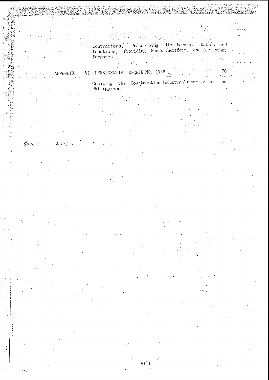Contractors, Prescribing its Powers, Duties and Functions, Providing Funds therefore, and for other Purposes

VI PRESIDENTIAL DECREE NO. 1746

ENDIX

Creating the Construction Industry Authority of the<br>Philippines

 $\sim 100$ 

76

VIII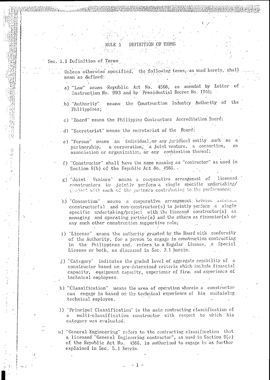### RULE<sub>1</sub> DEFINITION OF TERMS

### Sec. 1.1 Definition of Terms

「自衛をするき」と

- Unless otherwise specified, the following terms, as used herein, shall mean as defined:
- a) "Law" means Republic Act No. 4566, as amended by Letter of Instruction No. 993 and by Presidential Decree No. 1746;
- means the Construction Industry Authority of the b) "Authority" Philippines;
- c) "Board" means the Philippine Contractors Accreditation Board;
- .d) "Secreteriat" means the secretariat of the Board:
	- e) "Person" means an individual, or any juridical entity such as a partnership, a corporation, a joint venture, a consortium, association or organization, or any combination thereof;
- f) "Constructor" shall have the same meaning as "contractor" as used in Section 9(b) of the Republic Act No. 4566.
- licensed g) "Joint Venture" means a cooperative arrangement of constructors to jointly perform a single specific undertaking/ project with each of the partners contributing to the performance;
- means a cooperative arrangement between ficensou h) "Consortium" constructor(s) and non-constructor(s) to jointly perform a single specific undertaking/project with the licensed constructor(s) as managing and operating partner(s) and the others as financier(s) or any such other construction supportive role;
- i) "License" means the authority granted by the Board with conformity of the Authority, for a person to engage in construction contracting in the Philippines and. refers to a Regular License, a Special License or both, as discussed in Sec. 3.1 herein.
- j) "Category" indicates the graded level of aggregate cerebility of e constructor based on pre-determined criteria which include financial capacity, equipment capacity, experience of firm, and experience of technical employees.
- k) "Classification" means the area of operation wherein a constructor can engage in based on the technical experience of his sustaining technical exployee.
- 1) "Principal Classification" is the main contracting classification of multi-classification constructor with resvect to which his category was evaluated.
- m) "General Engineering" refers to the contracting classification that a licensed "General Engingering contractor", as used in Section 9(c) of the Republic Act No. 4566, is authorized to engage in as further explained in Sec. 5.1 herein.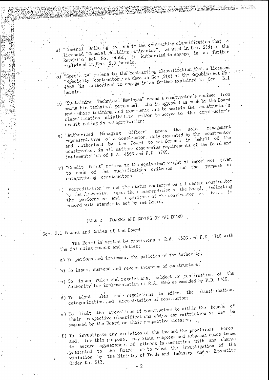n) "General Building" refers to the contracting classification that a denotes pursuantly first to the contractor", as used in Sec. 9(d) of the Republic Act No. 4566, is authorized to engage in as further explained in Sec. 5.1 herein.

**REPORT OF STRAIGHT** 

**CONSTRUCT COMPA** 

- "Specialty" refers to the contracting classification that a licensed "Specialty" contractor, as used in Sec. 9(e) of the Republic Act No. 4566 is authorized to engage in as further explained in Sec. 5.1 a) herein.
- p) "Sustaining Technical Employee" means a constructor's nominee from among his technical personnel, who is approved as such by the Board and whose training and experience are to sustain the constructor's classification eligibility and/or to accrue to the constructor's credit rating in categorization;
- management sole means the number numbers where we have the constructor Officer" q) "Authorized Managing and authorized by the Board to act for and in behalf of the constructor, in all matters concerning requirements of the Board and implementation of R.A. 4566 and P.D. 1746.
- r) "Credit Point" refers to the equivalent weight of importance given to each of the qualification criterion for the purpose of<br>categorizing constructors.
- s) Accreditation" means the status conferred on a licensed constructor by the Authority, upon the recommendation of the Board, indicating the performance and experience of the constructor as heim in accord with standards set by the Board;

### POWERS AND DUTIES OF THE BOARD RULE<sub>2</sub>

Sec. 2.1 Powers and Duties of the Board

The Board is vested by provisions of R.A. 4566 and P.D. 1746 with the following powers and duties:

- a) To perform and implement the policies of the Authority;
- b) To issue, suspend and revoke Licenses of constructors:
- c) To issue rules and regulations, subject to confirmation of the Authority for implementation of R.A. 4566 as amended by P.D. 1746.
	- d) To adopt rules and regulations to effect the classification, categorization and accreditation of constructor;
	- e) To limit the operations of constructors to within the bounds of their respective classifications and/or any restriction as may be imposed by the Board on their respective Licenses; ..
- f) To investigate any violation of the Law and the provisions hereof and, for this purpose, may issue subpoena and subpoena duces tecum to secure appearance of witness in connection with any charge presented to the Board; or to cause the investigation of the violation by the Ministry of Trade and Industry under Executive Order No. 913.

 $-2-$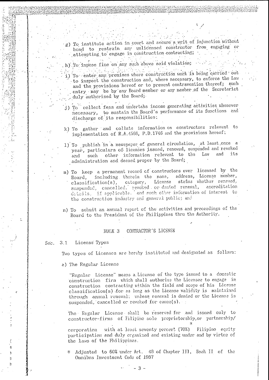- g) To institute action in court and secure a writ of injunction without bond to restrain any unlicensed constructor from engaging or attempting to engage in construction contracting;
- h) To impose fine on any such above said violation;
- n sing alumni dela  $\frac{1}{2}$  and  $\frac{1}{2}$ 
	- i) To enter any premises where construction work is being carried out to inspect the construction and, where necessary, to enforce the Law. and the provisions hereof or to prevent contravention thereof; such entry may be by any Board member or any member of the Secretariat duly authorized by the Board;
	- j) To collect fees and undertake income generating activities whenever necessary, to sustain the Board's performance of its functions and discharge of its responsibilities:
	- k) To gather and collate information on constructors relevant to implementation of R.A.4566, P.D.1746 and the provisions hereof;
	- 1) To publish in a newspaper of general circulation, at least once a year, particulars of licenses issued, renewed, suspended and revoked other information relevant to the Law and its and such administration and deemed proper by the Board;
	- m) To keep a permanent record of constructors ever licensed by the including therein the name, address, License number, Board, classification(s), category, License status whether renewed, suspended, cancelled, revoked or denied renewal, accreditation<br>datails, if applicable, and such other information of interest to the construction industry and general public; and
- n) To submit an annual report of the activities and proceedings of the Board to the President of the Philippines thru the Authority.

#### CONTRACTOR'S LICENSE RULE<sub>3</sub>

License Types  $3.1$ Sec.

などの「その後のことに、その他に、その他に、その後に、「その他に、」ということに、「その後に、「その後に、「その後に、」ということに、「その後に、「その後に、「その後に、「その後に、「その後に、「その後に、「その後に、「その後に、「その後に、「その後に、「その後に、「その後に、」ということに、「その後に、「その後に、「その後に、「その後に、「その後に、」ということに、「その後に、」ということに、「その後に、」ということに、「その後に、

Ξ 'n Two types of Licenses are hereby instituted and designated as follows:

a) The Regular License

"Regular License" means a License of the type issued to a domestic construction firm which shall authorize the Licensee to engage in construction contracting within the field and scope of his License classification(s) for as long as the License validity is maintained through annual renewal; unless renewal is denied or the License is suspended, cancelled or revoked for cause(s).

The Regular License shall be reserved for and issued only to constructor-firms of Filipine sole proprietorship, or partnership/

with at least seventy percent (70%) Filipino equity corporation participation and duly erganized and existing under and by virtue of the laws of the Philippines.

\* Adjusted to 60% under Art. 48 of Chapter III, Book II of the Omnibus Investment Code of 1987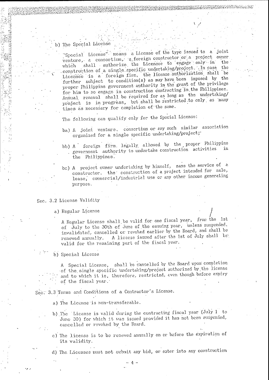# The Special License

"Special License" means a License of the type issued to a joint venture, a consortium, a foreign constructor or a project owner which shall authorize the Licensee to engage only in the construction of a single specific undertaking/project. In case the Licensee is a foreign firm, the license authorization shall be further subject to condition(s) as may have been imposed by the proper Philippine government authority in the grant of the privilege for him to so engage in construction contracting in the Philippines. Annual renewal shall be required for as long as the undertaking/ project is in progress, but shall be restricted to only as many times as necessary for completion of the same.

The following can qualify only for the Special License:

- ba) A joint venture, consertium or any such similar association organized for a single specific undertaking/project;
- bb) A foreign firm. legally allowed by the proper Philippine government authority to undertake construction activities the Philippines.
- bc) A project owner undertaking by himself, sans the service of a constructor, the construction of a project intended for sale, lease, cormercial/industrial use or any other income generating purpose.

# Sec. 3.2 License Validity

a) Regular License

A Regular License shall be valid for one fiscal year, from the 1st of July to the 30th of June of the ensuing year, unless suspended. invalidated, cancelled or revoked earlier by the Board, and shall be renewed annually. A license issued after the 1st of July shall be valid for the remaining part of the fiscal year.

b) Special License

A Special License, shall be cancelled by the Board upon completion of the single specific undertaking/project authorized by the license and to which it is, therefore, restricted, even though before expiry of the fiscal year.

Sec. 3.3 Terms and Conditions of a Contractor's License.

- a) The License is non-transferable.
- b) The License is valid during the contracting fiscal year (July 1 to June 30) for which it was issued provided it has not been suspended. cancelled or revoked by the Board.
- c) The license is to be renewed annually on or before the expiration of its validity.

d) The Licensee must not submit any bid, or enter into any construction

 $\Lambda$  -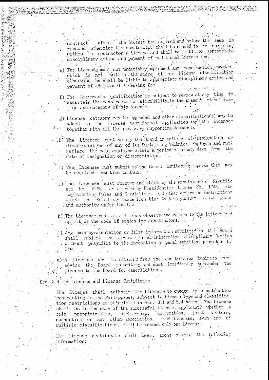after the License has expired and before the same is contract renewed otherwise the constructor shall be deemed to be operating without a contractor's License and shall be liable to appropriate disciplinary action and payment of additional License fee.

 $\mathcal{L}^{\text{max}}_{\text{max}}$ e) The Licensee must not undertake/implement any construction project which is not within the scope of his License classification otherwise he shall be liable to appropriate disciplinary action and payment of additional licensing fee. المستحمل والمهموم والمحارب

f) The Licensee's qualification is subject to review at any time to ascertain the constructor's eligibility to the present classification and category of his License.

g) License category may be upgraded and other classification(s) may be added to the license upon formal application by the Licensee together with all the necessary supporting documents of

h) The Licensee must notify the Board in writing of resignation or disassociation of any of its Sustaining Technical Employee and must replace the said exployee within a period of ninety days from the date of resignation or disassociation.

i) The Licensee must submit to the Board monitoring reports that may be required from time to time.

j) The Licensee must observe and abide by the provisions of Republic Act No. 4566, as anended by Presidential Decree No. 1746, its implementing Rules and Regulations. and other orders or instructions which the Board may issue from time to time pursued to its power and authority under the Lex.

k) The Licensee must at all times observe and adhere to the letters and spirit of the code of ethics for constructors.

1) Any misrepresentation or false information submitted to the Board shall subject the Licenses to administrative disciplinary action without prejudice to the imposition of penal sanctions provided by  $l$ aw. $\cdot$ 

m) A Licensee who is retiring from the construction business must advise the Board in writing and must immediately surrender the license to the Board for cancellation.

Sec. 3.4 The License and License Certificate

The License shall authorize the Licensae to engage in construction contracting in the Philippines, subject to License type and classification restrictions as stipulated in Sec. 3.1 and 5.4 hereof. The License shall be in the name of the successful License applicant, whether a sole proprietorship, partnership, corporation, joint venture,<br>consortium or any other association. Each Licensee, even one of multiple classifications, shall be issued only one License.

The License certificate shall bear, among others, the following information:

Ł.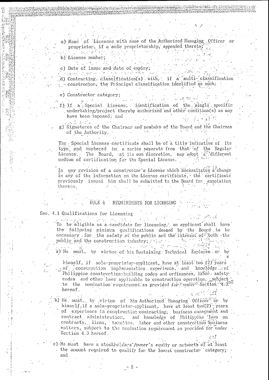a) Name of Licensee with name of the Authorized Managing Officer or proprietor, if a sole proprietorship, appended thereto;  $\mathcal{L}^{\text{max}}_{\text{max}}$  , where  $\mathcal{L}^{\text{max}}_{\text{max}}$  $\mathcal{A} \in \mathcal{A}$  ,  $\mathcal{A} \in \mathcal{A}$ 

- b) License number;
- 
- c) Date of issue and date of expiry; الملكي أحكاهم الإدامير الرابط للابار الأليا الماجهة إمرائهما يهرس
- (d) Contracting classification(s) with if a multi-classification

فتأبلات تدريجه فالمردود

- $\cdot$  sconstructor, the Principal classification identified as such;
- e) Constructor category;
- $\mu \rightarrow \infty$ f) If a Special License: identification of the single specific undertaking/project thereby authorized and other condition(s) as may have been imposed; and
- $\mathcal{L}(\mathcal{R})$  is a final g) Signatures of the Chairman and members of the Board and the Chairman of the Authority.  $\sigma$  -  $\sigma$  -  $\sigma$  -  $\sigma$

The Special License certificate shall be of a title indicative of its type and numbered in a series separate from that of the Regular License. The Board, et its own discretion, may adopt a different medium of certification for the Special License.

In any revision of a constructor's License which necessitates a change in any of the information on the License certificate, the certificate previously issued him shall be submitted to the Board for annotation thereon.

#### RULE 4 REQUIREMENTS FOR LICENSING

## Sec. 4.1 Qualifications for Licensing

 $\Phi_{\rm{max}}$ 

 $\label{eq:3.1} \begin{split} \mathcal{L}_{\mathcal{F}}^{\text{G}}(\mathcal{F},\mathcal{F}) &\stackrel{\text{def}}{=} \mathcal{L}_{\mathcal{F}}^{\text{G}}(\mathcal{F},\mathcal{F}) \text{,} \end{split}$ To be eligible as a candidate for licensing, an applicant shall have the following minimum qualifications deemed by the Board to be necessary for the safety of the public and the interest of both the public and the construction industry;  $\mathbb{F}_{\alpha}$  is the second cool of the public and the construction industry;  $\mathbb{F}_{\alpha}$  is the construction of the construction of the constant  $\mathbb{F}_{\alpha}$  is the constant of the const

a) He must, by virtue of his Sustaining Technical Employee or by

himself, if sole-proprietor-applicant, have at least two (2) years of construction implementation experience, and knowledge of Philippine construction-building codes and ordinances, labor safety codes and other laws applicable to construction operation. subject to the nomination requirement as provided for innder Section 4.2 hereof.

b) He must, by virtue of his Authorized Managing Officer or by himself, if a sole-proprietor-applicant, have at least two(2) years of experience in construction contracting, business management and contract administration, and knowledge of Philippine laws on contracts, liens, taration, labor and other construction business matters, subject to the nomination requirement as provided for under Section 4.3 hereof.

c) He must have a stockholders / owner's equity or networth of at least the amount required to qualify for the lowest constructor category; and